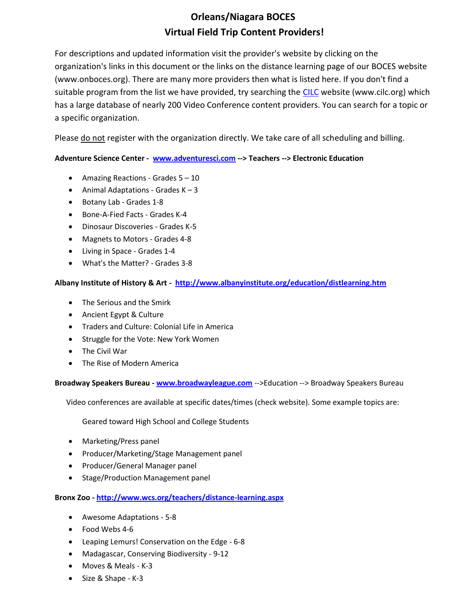# **Orleans/Niagara BOCES Virtual Field Trip Content Providers!**

For descriptions and updated information visit the provider's website by clicking on the organization's links in this document or the links on the distance learning page of our BOCES website (www.onboces.org). There are many more providers then what is listed here. If you don't find a suitable program from the list we have provided, try searching the [CILC](http://cilc.org/) website (www.cilc.org) which has a large database of nearly 200 Video Conference content providers. You can search for a topic or a specific organization.

Please do not register with the organization directly. We take care of all scheduling and billing.

# **Adventure Science Center - [www.adventuresci.com](http://www.adventuresci.com/default.aspx?section=education&title=electronic%20education&page=50) --> Teachers --> Electronic Education**

- Amazing Reactions Grades  $5 10$
- Animal Adaptations Grades  $K 3$
- Botany Lab Grades 1-8
- Bone-A-Fied Facts Grades K-4
- Dinosaur Discoveries Grades K-5
- Magnets to Motors Grades 4-8
- Living in Space Grades 1-4
- What's the Matter? Grades 3-8

# **Albany Institute of History & Art - <http://www.albanyinstitute.org/education/distlearning.htm>**

- The Serious and the Smirk
- Ancient Egypt & Culture
- Traders and Culture: Colonial Life in America
- Struggle for the Vote: New York Women
- The Civil War
- The Rise of Modern America

**Broadway Speakers Bureau - [www.broadwayleague.com](http://www.broadwayleague.com/index.php?url_identifier=broadway-speakers-bureau)** -->Education --> Broadway Speakers Bureau

Video conferences are available at specific dates/times (check website). Some example topics are:

Geared toward High School and College Students

- Marketing/Press panel
- Producer/Marketing/Stage Management panel
- Producer/General Manager panel
- Stage/Production Management panel

# **Bronx Zoo - <http://www.wcs.org/teachers/distance-learning.aspx>**

- Awesome Adaptations 5-8
- Food Webs 4-6
- Leaping Lemurs! Conservation on the Edge 6-8
- Madagascar, Conserving Biodiversity 9-12
- Moves & Meals K-3
- Size & Shape K-3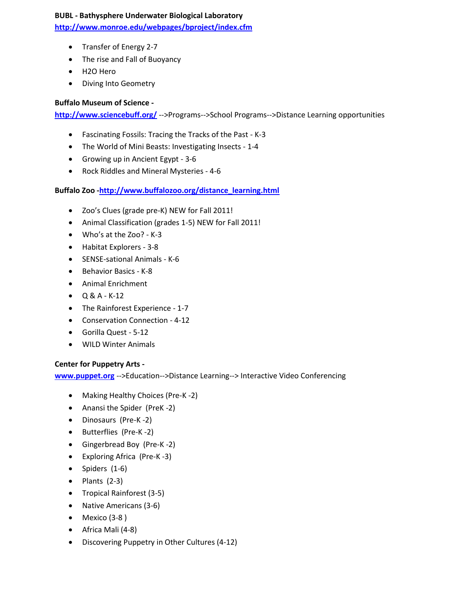#### **BUBL - Bathysphere Underwater Biological Laboratory**

**[http://www.monroe.edu/webpages/bproject/index.cfm](http://www.monroe.edu/webpages/bproject/videoconfer.cfm)**

- Transfer of Energy 2-7
- The rise and Fall of Buoyancy
- H2O Hero
- Diving Into Geometry

# **Buffalo Museum of Science -**

**[http://www.sciencebuff.org/](http://www.sciencebuff.org/programs/school-programs/distance-learning/)** -->Programs-->School Programs-->Distance Learning opportunities

- Fascinating Fossils: Tracing the Tracks of the Past K-3
- The World of Mini Beasts: Investigating Insects 1-4
- Growing up in Ancient Egypt 3-6
- Rock Riddles and Mineral Mysteries 4-6

# **Buffalo Zoo [-http://www.buffalozoo.org/distance\\_learning.html](http://www.buffalozoo.org/distance_learning.html)**

- Zoo's Clues (grade pre-K) NEW for Fall 2011!
- Animal Classification (grades 1-5) NEW for Fall 2011!
- Who's at the Zoo? K-3
- Habitat Explorers 3-8
- SENSE-sational Animals K-6
- Behavior Basics K-8
- Animal Enrichment
- $\bullet$  Q & A K-12
- The Rainforest Experience 1-7
- Conservation Connection 4-12
- Gorilla Quest 5-12
- WILD Winter Animals

## **Center for Puppetry Arts -**

**[www.puppet.org](http://www.puppet.org/edu/dis_programs-videoconferencing.shtml)** -->Education-->Distance Learning--> Interactive Video Conferencing

- Making Healthy Choices (Pre-K-2)
- Anansi the Spider (PreK -2)
- Dinosaurs (Pre-K -2)
- Butterflies (Pre-K-2)
- Gingerbread Boy (Pre-K -2)
- Exploring Africa (Pre-K -3)
- $\bullet$  Spiders (1-6)
- $\bullet$  Plants (2-3)
- Tropical Rainforest (3-5)
- Native Americans (3-6)
- $\bullet$  Mexico (3-8)
- Africa Mali (4-8)
- Discovering Puppetry in Other Cultures (4-12)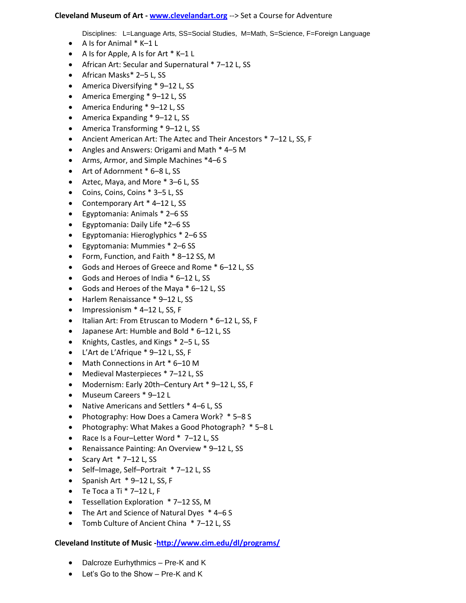#### **Cleveland Museum of Art - [www.clevelandart.org](http://www.clevelandart.org/learn/distance%20learning/elementary.aspx)** --> Set a Course for Adventure

Disciplines: L=Language Arts, SS=Social Studies, M=Math, S=Science, F=Foreign Language

- $\bullet$  A Is for Animal  $*$  K–1 L
- A Is for Apple, A Is for Art  $*$  K–1 L
- African Art: Secular and Supernatural \* 7–12 L, SS
- African Masks\* 2–5 L, SS
- America Diversifying \* 9-12 L, SS
- America Emerging \* 9-12 L, SS
- America Enduring \* 9–12 L, SS
- America Expanding \* 9–12 L, SS
- America Transforming \* 9–12 L, SS
- Ancient American Art: The Aztec and Their Ancestors \* 7–12 L, SS, F
- Angles and Answers: Origami and Math \* 4–5 M
- Arms, Armor, and Simple Machines \*4–6 S
- Art of Adornment \* 6–8 L, SS
- Aztec, Maya, and More \* 3–6 L, SS
- Coins, Coins, Coins \* 3–5 L, SS
- Contemporary Art \* 4-12 L, SS
- Egyptomania: Animals \* 2–6 SS
- Egyptomania: Daily Life \*2–6 SS
- Egyptomania: Hieroglyphics \* 2–6 SS
- Egyptomania: Mummies \* 2–6 SS
- Form, Function, and Faith \* 8–12 SS, M
- Gods and Heroes of Greece and Rome \* 6–12 L, SS
- Gods and Heroes of India \* 6–12 L, SS
- Gods and Heroes of the Maya \* 6–12 L, SS
- Harlem Renaissance \* 9–12 L, SS
- $\bullet$  Impressionism  $*$  4-12 L, SS, F
- Italian Art: From Etruscan to Modern \* 6-12 L, SS, F
- Japanese Art: Humble and Bold \* 6–12 L, SS
- Knights, Castles, and Kings \* 2–5 L, SS
- L'Art de L'Afrique \* 9–12 L, SS, F
- Math Connections in Art \* 6-10 M
- Medieval Masterpieces \* 7–12 L, SS
- Modernism: Early 20th–Century Art \* 9–12 L, SS, F
- Museum Careers \* 9–12 L
- Native Americans and Settlers \* 4–6 L, SS
- Photography: How Does a Camera Work? \* 5-8 S
- Photography: What Makes a Good Photograph? \* 5–8 L
- Race Is a Four–Letter Word \* 7–12 L, SS
- Renaissance Painting: An Overview \* 9-12 L, SS
- Scary Art  $*$  7–12 L, SS
- Self-Image, Self-Portrait \* 7-12 L, SS
- $\bullet$  Spanish Art  $*$  9-12 L, SS, F
- $\bullet$  Te Toca a Ti  $*$  7-12 L, F
- Tessellation Exploration \* 7-12 SS, M
- The Art and Science of Natural Dyes  $*$  4–6 S
- Tomb Culture of Ancient China \* 7-12 L, SS

# **Cleveland Institute of Music [-http://www.cim.edu/dl/programs/](http://www.cim.edu/dl/programs/)**

- Dalcroze Eurhythmics Pre-K and K
- Let's Go to the Show Pre-K and K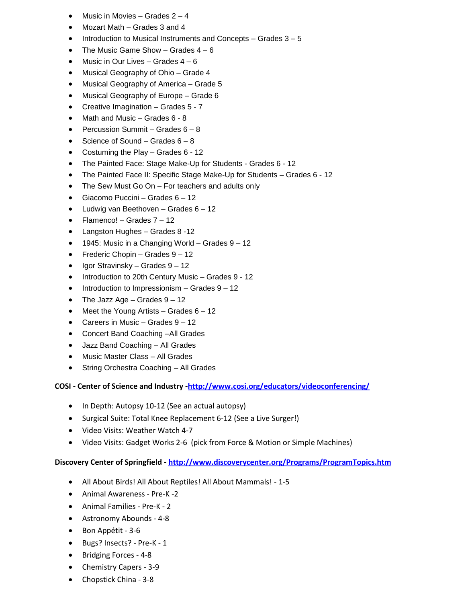- Music in Movies Grades 2 4
- Mozart Math Grades 3 and 4
- $\bullet$  Introduction to Musical Instruments and Concepts Grades  $3-5$
- The Music Game Show Grades  $4 6$
- $\bullet$  Music in Our Lives Grades  $4-6$
- Musical Geography of Ohio Grade 4
- Musical Geography of America Grade 5
- Musical Geography of Europe Grade 6
- Creative Imagination Grades 5 7
- Math and Music Grades 6 8
- Percussion Summit Grades  $6 8$
- Science of Sound Grades  $6 8$
- Costuming the Play Grades 6 12
- The Painted Face: Stage Make-Up for Students Grades 6 12
- The Painted Face II: Specific Stage Make-Up for Students Grades 6 12
- The Sew Must Go On For teachers and adults only
- Giacomo Puccini Grades 6 12
- $\bullet$  Ludwig van Beethoven Grades 6 12
- $\bullet$  Flamenco! Grades  $7 12$
- Langston Hughes Grades 8 -12
- 1945: Music in a Changing World Grades 9 12
- Frederic Chopin Grades  $9 12$
- $\bullet$  Igor Stravinsky Grades  $9 12$
- Introduction to 20th Century Music Grades 9 12
- $\bullet$  Introduction to Impressionism Grades  $9 12$
- The Jazz Age Grades  $9 12$
- $\bullet$  Meet the Young Artists Grades  $6 12$
- Careers in Music Grades 9 12
- Concert Band Coaching –All Grades
- Jazz Band Coaching All Grades
- Music Master Class All Grades
- String Orchestra Coaching All Grades

# **COSI - Center of Science and Industry [-http://www.cosi.org/educators/videoconferencing/](http://www.cosi.org/educators/videoconferencing/)**

- In Depth: Autopsy 10-12 (See an actual autopsy)
- Surgical Suite: Total Knee Replacement 6-12 (See a Live Surger!)
- Video Visits: Weather Watch 4-7
- Video Visits: Gadget Works 2-6 (pick from Force & Motion or Simple Machines)

## **Discovery Center of Springfield - <http://www.discoverycenter.org/Programs/ProgramTopics.htm>**

- All About Birds! All About Reptiles! All About Mammals! 1-5
- Animal Awareness Pre-K -2
- Animal Families Pre-K 2
- Astronomy Abounds 4-8
- Bon Appétit 3-6
- Bugs? Insects? Pre-K 1
- Bridging Forces 4-8
- Chemistry Capers 3-9
- Chopstick China 3-8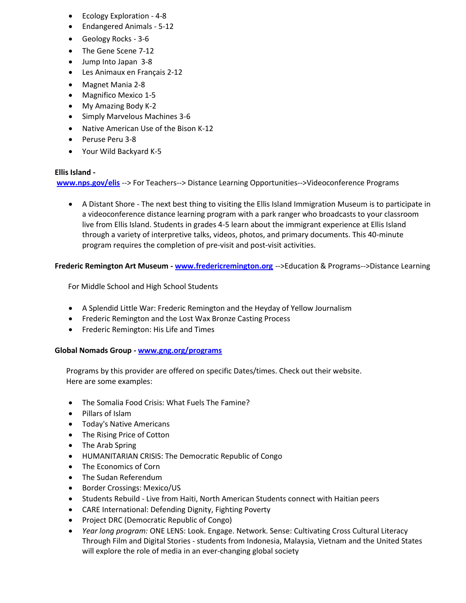- Ecology Exploration 4-8
- Endangered Animals 5-12
- Geology Rocks 3-6
- The Gene Scene 7-12
- Jump Into Japan 3-8
- Les Animaux en Français 2-12
- Magnet Mania 2-8
- Magnifico Mexico 1-5
- My Amazing Body K-2
- Simply Marvelous Machines 3-6
- Native American Use of the Bison K-12
- Peruse Peru 3-8
- Your Wild Backyard K-5

# **Ellis Island -**

**[www.nps.gov/elis](http://www.nps.gov/elis/forteachers/videoconference-program.htm)** --> For Teachers--> Distance Learning Opportunities-->Videoconference Programs

 A Distant Shore - The next best thing to visiting the Ellis Island Immigration Museum is to participate in a videoconference distance learning program with a park ranger who broadcasts to your classroom live from Ellis Island. Students in grades 4-5 learn about the immigrant experience at Ellis Island through a variety of interpretive talks, videos, photos, and primary documents. This 40-minute program requires the completion of pre-visit and post-visit activities.

# **Frederic Remington Art Museum - [www.fredericremington.org](http://www.fredericremington.org/page.php?p=137&s=5)** -->Education & Programs-->Distance Learning

For Middle School and High School Students

- A Splendid Little War: Frederic Remington and the Heyday of Yellow Journalism
- Frederic Remington and the Lost Wax Bronze Casting Process
- Frederic Remington: His Life and Times

## **Global Nomads Group - [www.gng.org/programs](http://www.gng.org/programs/)**

 Programs by this provider are offered on specific Dates/times. Check out their website. Here are some examples:

- The Somalia Food Crisis: What Fuels The Famine?
- Pillars of Islam
- Today's Native Americans
- The Rising Price of Cotton
- T[he Arab Spring](http://www.gng.org/programs/fall2011/The-Arab-Spring.html)
- HUMANITARIAN CRISIS: The Democratic Republic of Congo
- The Economics of Corn
- The Sudan Referendum
- Border Crossings: Mexico/US
- Students Rebuild Live from Haiti, North American Students connect with Haitian peers
- CARE International: Defending Dignity, Fighting Poverty
- Project DRC (Democratic Republic of Congo)
- *Year long program:* ONE LENS: Look. Engage. Network. Sense: Cultivating Cross Cultural Literacy Through Film and Digital Stories - students from Indonesia, Malaysia, Vietnam and the United States will explore the role of media in an ever-changing global society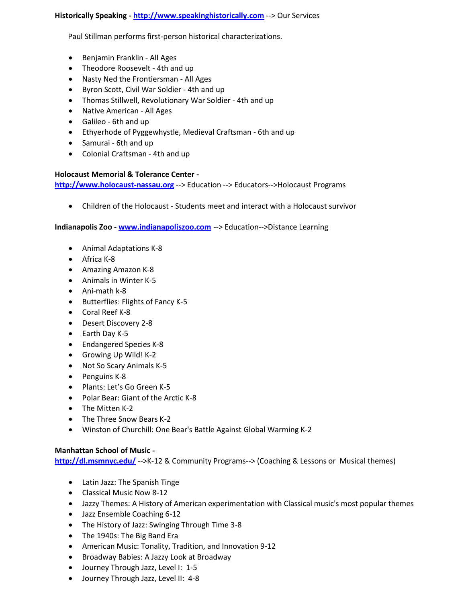**Historically Speaking - [http://www.speakinghistorically.com](http://www.speakinghistorically.com/Our_Service.html)** --> Our Services

Paul Stillman performs first-person historical characterizations.

- Benjamin Franklin All Ages
- Theodore Roosevelt 4th and up
- Nasty Ned the Frontiersman All Ages
- Byron Scott, Civil War Soldier 4th and up
- Thomas Stillwell, Revolutionary War Soldier 4th and up
- Native American All Ages
- Galileo 6th and up
- Ethyerhode of Pyggewhystle, Medieval Craftsman 6th and up
- Samurai 6th and up
- Colonial Craftsman 4th and up

#### **Holocaust Memorial & Tolerance Center -**

**[http://www.holocaust-nassau.org](http://www.holocaust-nassau.org/#pageID=474)** --> Education --> Educators-->Holocaust Programs

Children of the Holocaust - Students meet and interact with a Holocaust survivor

**Indianapolis Zoo - [www.indianapoliszoo.com](http://www.indianapoliszoo.com/SitePages/Education/DLCalendar.aspx)** --> Education-->Distance Learning

- Animal Adaptations K-8
- Africa K-8
- Amazing Amazon K-8
- Animals in Winter K-5
- Ani-math k-8
- Butterflies: Flights of Fancy K-5
- Coral Reef K-8
- Desert Discovery 2-8
- $\bullet$  Earth Day K-5
- Endangered Species K-8
- Growing Up Wild! K-2
- Not So Scary Animals K-5
- Penguins K-8
- Plants: Let's Go Green K-5
- Polar Bear: Giant of the Arctic K-8
- The Mitten K-2
- The Three Snow Bears K-2
- Winston of Churchill: One Bear's Battle Against Global Warming K-2

## **Manhattan School of Music -**

**<http://dl.msmnyc.edu/>** -->K-12 & Community Programs--> (Coaching & Lessons or Musical themes)

- Latin Jazz: The Spanish Tinge
- Classical Music Now 8-12
- Jazzy Themes: A History of American experimentation with Classical music's most popular themes
- Jazz Ensemble Coaching 6-12
- The History of Jazz: Swinging Through Time 3-8
- The 1940s: The Big Band Era
- American Music: Tonality, Tradition, and Innovation 9-12
- Broadway Babies: A Jazzy Look at Broadway
- Journey Through Jazz, Level I: 1-5
- Journey Through Jazz, Level II: 4-8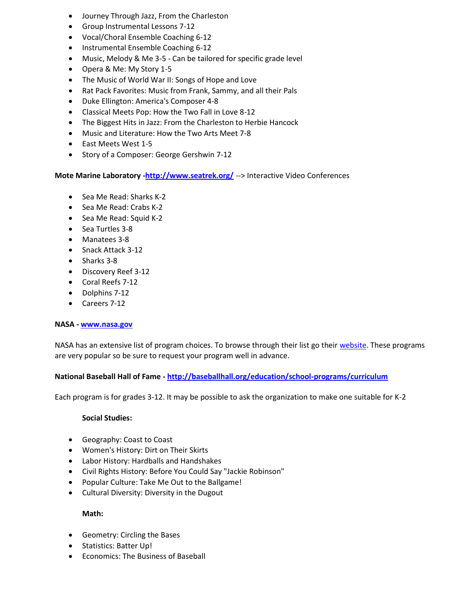- Journey Through Jazz, From the Charleston
- Group Instrumental Lessons 7-12
- Vocal/Choral Ensemble Coaching 6-12
- Instrumental Ensemble Coaching 6-12
- Music, Melody & Me 3-5 Can be tailored for specific grade level
- Opera & Me: My Story 1-5
- The Music of World War II: Songs of Hope and Love
- Rat Pack Favorites: Music from Frank, Sammy, and all their Pals
- Duke Ellington: America's Composer 4-8
- Classical Meets Pop: How the Two Fall in Love 8-12
- The Biggest Hits in Jazz: From the Charleston to Herbie Hancock
- Music and Literature: How the Two Arts Meet 7-8
- East Meets West 1-5
- Story of a Composer: George Gershwin 7-12

**Mote Marine Laboratory [-http://www.seatrek.org/](http://www.seatrek.org/ivc/index.html)** --> Interactive Video Conferences

- Sea Me Read: Sharks K-2
- Sea Me Read: Crabs K-2
- Sea Me Read: Squid K-2
- Sea Turtles 3-8
- Manatees 3-8
- Snack Attack 3-12
- Sharks 3-8
- Discovery Reef 3-12
- Coral Reefs 7-12
- Dolphins 7-12
- Careers 7-12

## **NASA - [www.nasa.gov](http://www.nasa.gov/offices/education/programs/national/dln/events/catalog/catalogs_register_enabled_sa_archive_1.html)**

NASA has an extensive list of program choices. To browse through their list go their [website.](http://www.nasa.gov/offices/education/programs/national/dln/events/catalog/catalogs_register_enabled_sa_archive_1.html) These programs are very popular so be sure to request your program well in advance.

## **National Baseball Hall of Fame - <http://baseballhall.org/education/school-programs/curriculum>**

Each program is for grades 3-12. It may be possible to ask the organization to make one suitable for K-2

#### **Social Studies:**

- Geography: Coast to Coast
- Women's History: Dirt on Their Skirts
- Labor History: Hardballs and Handshakes
- Civil Rights History: Before You Could Say "Jackie Robinson"
- Popular Culture: Take Me Out to the Ballgame!
- Cultural Diversity: Diversity in the Dugout

## **Math:**

- Geometry: Circling the Bases
- Statistics: Batter Up!
- Economics: The Business of Baseball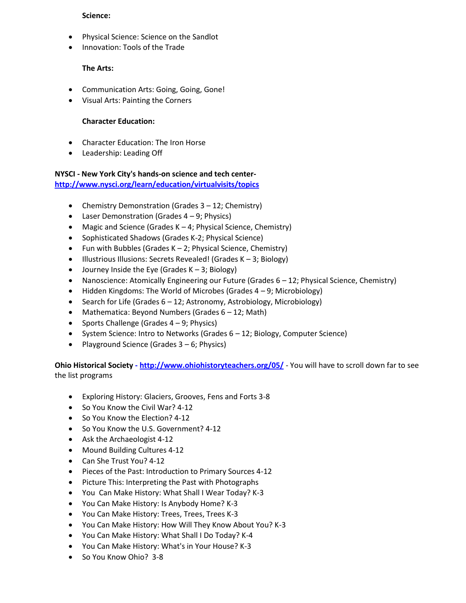#### **Science:**

- Physical Science: Science on the Sandlot
- Innovation: Tools of the Trade

# **The Arts:**

- Communication Arts: Going, Going, Gone!
- Visual Arts: Painting the Corners

# **Character Education:**

- Character Education: The Iron Horse
- Leadership: Leading Off

#### **NYSCI - New York City's hands-on science and tech center<http://www.nysci.org/learn/education/virtualvisits/topics>**

- Chemistry Demonstration (Grades 3 *–* 12; Chemistry)
- Laser Demonstration (Grades 4 *–* 9; Physics)
- Magic and Science (Grades K *–* 4; Physical Science, Chemistry)
- Sophisticated Shadows (Grades K-2; Physical Science)
- Fun with Bubbles (Grades K *–* 2; Physical Science, Chemistry)
- Illustrious Illusions: Secrets Revealed! (Grades K *–* 3; Biology)
- Journey Inside the Eye (Grades K *–* 3; Biology)
- Nanoscience: Atomically Engineering our Future (Grades 6 *–* 12; Physical Science, Chemistry)
- Hidden Kingdoms: The World of Microbes (Grades 4 *–* 9; Microbiology)
- Search for Life (Grades 6 *–* 12; Astronomy, Astrobiology, Microbiology)
- Mathematica: Beyond Numbers (Grades 6 *–* 12; Math)
- Sports Challenge (Grades 4 *–* 9; Physics)
- System Science: Intro to Networks (Grades 6 *–* 12; Biology, Computer Science)
- Playground Science (Grades 3 *–* 6; Physics)

**Ohio Historical Society - <http://www.ohiohistoryteachers.org/05/>** - You will have to scroll down far to see the list programs

- Exploring History: Glaciers, Grooves, Fens and Forts 3-8
- So You Know the Civil War? 4-12
- So You Know the Election? 4-12
- So You Know the U.S. Government? 4-12
- Ask the Archaeologist 4-12
- Mound Building Cultures 4-12
- Can She Trust You? 4-12
- Pieces of the Past: Introduction to Primary Sources 4-12
- Picture This: Interpreting the Past with Photographs
- You Can Make History: What Shall I Wear Today? K-3
- You Can Make History: Is Anybody Home? K-3
- You Can Make History: Trees, Trees, Trees K-3
- You Can Make History: How Will They Know About You? K-3
- You Can Make History: What Shall I Do Today? K-4
- You Can Make History: What's in Your House? K-3
- So You Know Ohio? 3-8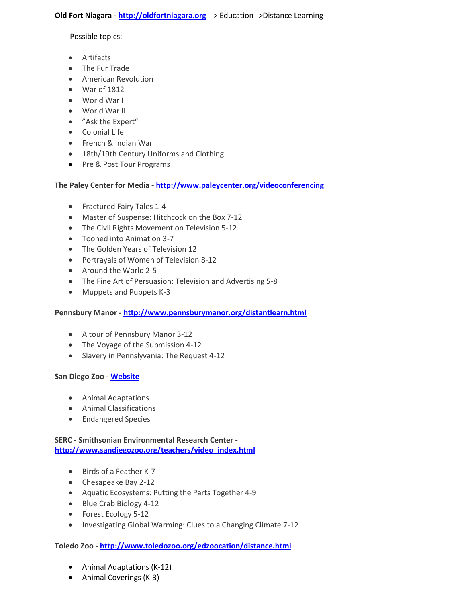#### **Old Fort Niagara - [http://oldfortniagara.org](http://oldfortniagara.org/education/distance.php)** --> Education-->Distance Learning

Possible topics:

- Artifacts
- The Fur Trade
- American Revolution
- War of 1812
- World War I
- World War II
- "Ask the Expert"
- Colonial Life
- French & Indian War
- 18th/19th Century Uniforms and Clothing
- Pre & Post Tour Programs

## **The Paley Center for Media - <http://www.paleycenter.org/videoconferencing>**

- Fractured Fairy Tales 1-4
- Master of Suspense: Hitchcock on the Box 7-12
- The Civil Rights Movement on Television 5-12
- Tooned into Animation 3-7
- The Golden Years of Television 12
- Portrayals of Women of Television 8-12
- Around the World 2-5
- The Fine Art of Persuasion: Television and Advertising 5-8
- Muppets and Puppets K-3

## **Pennsbury Manor - <http://www.pennsburymanor.org/distantlearn.html>**

- A tour of Pennsbury Manor 3-12
- The Voyage of the Submission 4-12
- Slavery in Pennslyvania: The Request 4-12

## **San Diego Zoo - [Website](http://www.sandiegozoo.org/teachers/video_index.html)**

- Animal Adaptations
- Animal Classifications
- Endangered Species

# **SERC - Smithsonian Environmental Research Center [http://www.sandiegozoo.org/teachers/video\\_index.html](http://www.serc.si.edu/education/dl/video/index.aspx)**

- Birds of a Feather K-7
- Chesapeake Bay 2-12
- Aquatic Ecosystems: Putting the Parts Together 4-9
- Blue Crab Biology 4-12
- Forest Ecology 5-12
- Investigating Global Warming: Clues to a Changing Climate 7-12

## **Toledo Zoo - <http://www.toledozoo.org/edzoocation/distance.html>**

- Animal Adaptations (K-12)
- Animal Coverings (K-3)